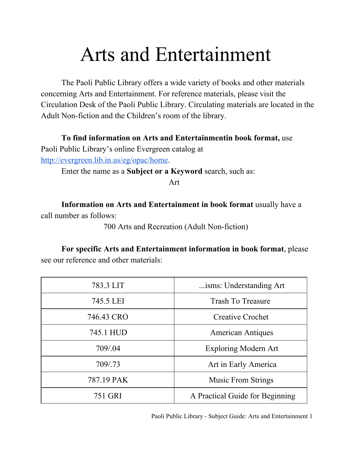## Arts and Entertainment

The Paoli Public Library offers a wide variety of books and other materials concerning Arts and Entertainment. For reference materials, please visit the Circulation Desk of the Paoli Public Library. Circulating materials are located in the Adult Non-fiction and the Children's room of the library.

**To find information on Arts and Entertainmentin book format,** use

Paoli Public Library's online Evergreen catalog at [http://evergreen.lib.in.us/eg/opac/home.](http://www.google.com/url?q=http%3A%2F%2Fevergreen.lib.in.us%2Feg%2Fopac%2Fhome&sa=D&sntz=1&usg=AFQjCNGsG5M-fKX2vRjqCLPN7y-hvpw6_w)

Enter the name as a **Subject or a Keyword** search, such as:

Art

**Information on Arts and Entertainment in book format** usually have a call number as follows:

700 Arts and Recreation (Adult Non-fiction)

**For specific Arts and Entertainment information in book format**, please see our reference and other materials:

| 783.3 LIT  | isms: Understanding Art         |
|------------|---------------------------------|
| 745.5 LEI  | <b>Trash To Treasure</b>        |
| 746.43 CRO | <b>Creative Crochet</b>         |
| 745.1 HUD  | <b>American Antiques</b>        |
| 709/.04    | <b>Exploring Modern Art</b>     |
| 709/.73    | Art in Early America            |
| 787.19 PAK | <b>Music From Strings</b>       |
| 751 GRI    | A Practical Guide for Beginning |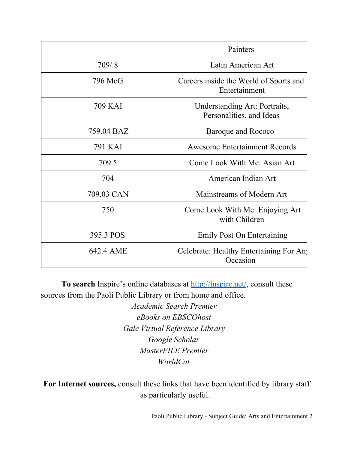|            | Painters                                                  |
|------------|-----------------------------------------------------------|
| 709/.8     | Latin American Art                                        |
| 796 McG    | Careers inside the World of Sports and<br>Entertainment   |
| 709 KAI    | Understanding Art: Portraits,<br>Personalities, and Ideas |
| 759.04 BAZ | Baroque and Rococo                                        |
| 791 KAI    | <b>Awesome Entertainment Records</b>                      |
| 709.5      | Come Look With Me: Asian Art                              |
| 704        | American Indian Art                                       |
| 709.03 CAN | Mainstreams of Modern Art                                 |
| 750        | Come Look With Me: Enjoying Art<br>with Children          |
| 395.3 POS  | <b>Emily Post On Entertaining</b>                         |
| 642.4 AME  | Celebrate: Healthy Entertaining For Any<br>Occasion       |

**To search** Inspire's online databases at [http://inspire.net/,](http://www.google.com/url?q=http%3A%2F%2Finspire.net%2F&sa=D&sntz=1&usg=AFQjCNGmG_5xOU01M_eGdBZ4K6icPucxZA) consult these sources from the Paoli Public Library or from home and office.

> *Academic Search Premier eBooks on EBSCOhost Gale Virtual Reference Library Google Scholar MasterFILE Premier WorldCat*

**For Internet sources,** consult these links that have been identified by library staff as particularly useful.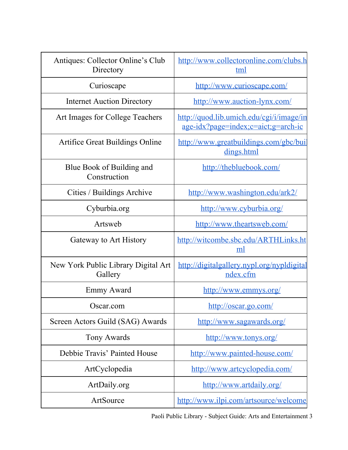| Antiques: Collector Online's Club<br>Directory | http://www.collectoronline.com/clubs.h<br>tml                                   |
|------------------------------------------------|---------------------------------------------------------------------------------|
| Curioscape                                     | http://www.curioscape.com/                                                      |
| <b>Internet Auction Directory</b>              | http://www.auction-lynx.com/                                                    |
| Art Images for College Teachers                | http://quod.lib.umich.edu/cgi/i/image/in<br>age-idx?page=index;c=aict;g=arch-ic |
| <b>Artifice Great Buildings Online</b>         | http://www.greatbuildings.com/gbc/buil<br>dings.html                            |
| Blue Book of Building and<br>Construction      | http://thebluebook.com/                                                         |
| Cities / Buildings Archive                     | http://www.washington.edu/ark2/                                                 |
| Cyburbia.org                                   | http://www.cyburbia.org/                                                        |
| Artsweb                                        | http://www.theartsweb.com/                                                      |
| Gateway to Art History                         | http://witcombe.sbc.edu/ARTHLinks.ht<br>ml                                      |
| New York Public Library Digital Art<br>Gallery | http://digitalgallery.nypl.org/nypldigital<br>ndex.cfm                          |
| Emmy Award                                     | http://www.emmys.org/                                                           |
| Oscar.com                                      | http://oscar.go.com/                                                            |
| Screen Actors Guild (SAG) Awards               | http://www.sagawards.org/                                                       |
| Tony Awards                                    | http://www.tonys.org/                                                           |
| Debbie Travis' Painted House                   | http://www.painted-house.com/                                                   |
| ArtCyclopedia                                  | http://www.artcyclopedia.com/                                                   |
| ArtDaily.org                                   | http://www.artdaily.org/                                                        |
|                                                |                                                                                 |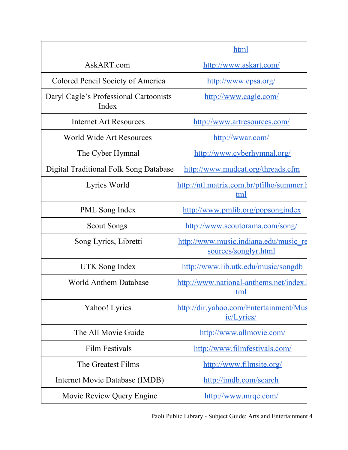|                                                 | html                                                          |
|-------------------------------------------------|---------------------------------------------------------------|
| AskART.com                                      | http://www.askart.com/                                        |
| Colored Pencil Society of America               | http://www.cpsa.org/                                          |
| Daryl Cagle's Professional Cartoonists<br>Index | http://www.cagle.com/                                         |
| <b>Internet Art Resources</b>                   | http://www.artresources.com/                                  |
| World Wide Art Resources                        | http://wwar.com/                                              |
| The Cyber Hymnal                                | http://www.cyberhymnal.org/                                   |
| <b>Digital Traditional Folk Song Database</b>   | http://www.mudcat.org/threads.cfm                             |
| Lyrics World                                    | http://ntl.matrix.com.br/pfilho/summer.htm<br>tml             |
| <b>PML</b> Song Index                           | http://www.pmlib.org/popsongindex                             |
| <b>Scout Songs</b>                              | http://www.scoutorama.com/song/                               |
| Song Lyrics, Libretti                           | http://www.music.indiana.edu/music_re<br>sources/songlyr.html |
| <b>UTK</b> Song Index                           | http://www.lib.utk.edu/music/songdb                           |
| <b>World Anthem Database</b>                    | http://www.national-anthems.net/index.<br>tml                 |
| Yahoo! Lyrics                                   | http://dir.yahoo.com/Entertainment/Mus<br>ic/Lyrics/          |
| The All Movie Guide                             | http://www.allmovie.com/                                      |
| <b>Film Festivals</b>                           | http://www.filmfestivals.com/                                 |
| The Greatest Films                              | http://www.filmsite.org/                                      |
| Internet Movie Database (IMDB)                  | http://imdb.com/search                                        |
| Movie Review Query Engine                       | http://www.mrge.com/                                          |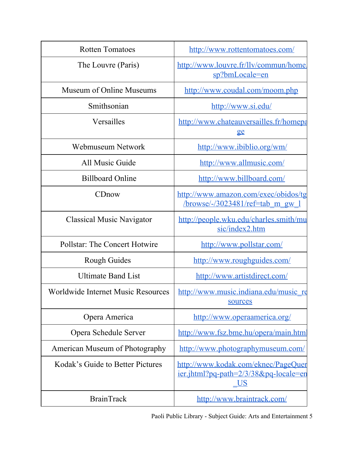| <b>Rotten Tomatoes</b>                    | http://www.rottentomatoes.com/                                                                       |
|-------------------------------------------|------------------------------------------------------------------------------------------------------|
| The Louvre (Paris)                        | http://www.louvre.fr/lly/commun/home<br>sp?bmLocale=en                                               |
| Museum of Online Museums                  | http://www.coudal.com/moom.php                                                                       |
| Smithsonian                               | http://www.si.edu/                                                                                   |
| Versailles                                | http://www.chateauversailles.fr/homepa<br>ge                                                         |
| Webmuseum Network                         | http://www.ibiblio.org/wm/                                                                           |
| All Music Guide                           | http://www.allmusic.com/                                                                             |
| <b>Billboard Online</b>                   | http://www.billboard.com/                                                                            |
| CDnow                                     | http://www.amazon.com/exec/obidos/tg<br>$\frac{\text{browse}}{3023481}$ /ref=tab m gw 1              |
| <b>Classical Music Navigator</b>          | http://people.wku.edu/charles.smith/mu<br>sic/index2.htm                                             |
| <b>Pollstar: The Concert Hotwire</b>      | http://www.pollstar.com/                                                                             |
| <b>Rough Guides</b>                       | http://www.roughguides.com/                                                                          |
| <b>Ultimate Band List</b>                 | http://www.artistdirect.com/                                                                         |
| <b>Worldwide Internet Music Resources</b> | http://www.music.indiana.edu/music_re<br>sources                                                     |
| Opera America                             | http://www.operaamerica.org/                                                                         |
| Opera Schedule Server                     | http://www.fsz.bme.hu/opera/main.html                                                                |
| American Museum of Photography            | http://www.photographymuseum.com/                                                                    |
| Kodak's Guide to Better Pictures          | http://www.kodak.com/eknec/PageQuer<br><u>ier.jhtml?pq-path=2/3/38&amp;pq-locale=en</u><br><u>US</u> |
| <b>BrainTrack</b>                         | http://www.braintrack.com/                                                                           |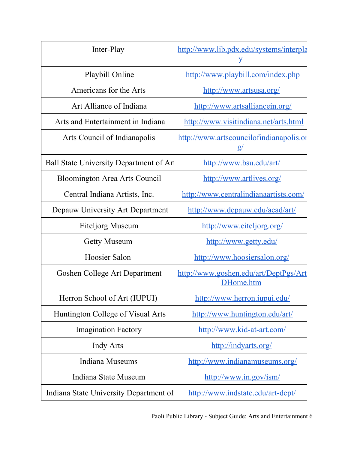| Inter-Play                             | http://www.lib.pdx.edu/systems/interpla<br>Y         |
|----------------------------------------|------------------------------------------------------|
| Playbill Online                        | http://www.playbill.com/index.php                    |
| Americans for the Arts                 | http://www.artsusa.org/                              |
| Art Alliance of Indiana                | http://www.artsalliancein.org/                       |
| Arts and Entertainment in Indiana      | http://www.visitindiana.net/arts.html                |
| Arts Council of Indianapolis           | http://www.artscouncilofindianapolis.or<br><u>g/</u> |
| Ball State University Department of Ar | http://www.bsu.edu/art/                              |
| <b>Bloomington Area Arts Council</b>   | http://www.artlives.org/                             |
| Central Indiana Artists, Inc.          | http://www.centralindianaartists.com/                |
| Depauw University Art Department       | http://www.depauw.edu/acad/art/                      |
| Eiteljorg Museum                       | http://www.eiteljorg.org/                            |
| <b>Getty Museum</b>                    | http://www.getty.edu/                                |
| Hoosier Salon                          | http://www.hoosiersalon.org/                         |
| Goshen College Art Department          | http://www.goshen.edu/art/DeptPgs/Art<br>DHome.htm   |
| Herron School of Art (IUPUI)           | http://www.herron.jupui.edu/                         |
| Huntington College of Visual Arts      | http://www.huntington.edu/art/                       |
| <b>Imagination Factory</b>             | http://www.kid-at-art.com/                           |
| <b>Indy Arts</b>                       | http://indyarts.org/                                 |
| <b>Indiana Museums</b>                 | http://www.indianamuseums.org/                       |
| Indiana State Museum                   | http://www.in.gov/ism/                               |
| Indiana State University Department of | http://www.indstate.edu/art-dept/                    |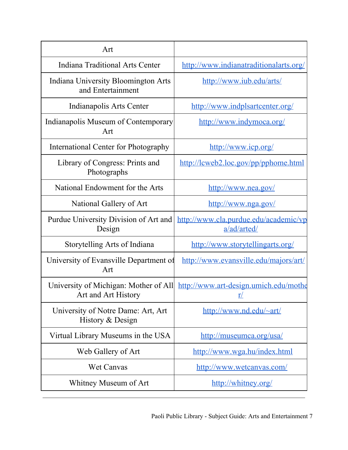| Art                                                          |                                                          |
|--------------------------------------------------------------|----------------------------------------------------------|
| Indiana Traditional Arts Center                              | http://www.indianatraditionalarts.org/                   |
| Indiana University Bloomington Arts<br>and Entertainment     | http://www.iub.edu/arts/                                 |
| Indianapolis Arts Center                                     | http://www.indplsartcenter.org/                          |
| Indianapolis Museum of Contemporary<br>Art                   | http://www.indymoca.org/                                 |
| International Center for Photography                         | http://www.icp.org/                                      |
| Library of Congress: Prints and<br>Photographs               | http://lcweb2.loc.gov/pp/pphome.html                     |
| National Endowment for the Arts                              | http://www.nea.gov/                                      |
| National Gallery of Art                                      | http://www.nga.gov/                                      |
| Purdue University Division of Art and<br>Design              | http://www.cla.purdue.edu/academic/vp<br>a/ad/arted/     |
| Storytelling Arts of Indiana                                 | http://www.storytellingarts.org/                         |
| University of Evansville Department of<br>Art                | http://www.evansville.edu/majors/art/                    |
| University of Michigan: Mother of All<br>Art and Art History | http://www.art-design.umich.edu/mothe<br>$\underline{r}$ |
| University of Notre Dame: Art, Art<br>History & Design       | http://www.nd.edu/~art/                                  |
| Virtual Library Museums in the USA                           | http://museumca.org/usa/                                 |
| Web Gallery of Art                                           | http://www.wga.hu/index.html                             |
| <b>Wet Canvas</b>                                            | http://www.wetcanvas.com/                                |
| Whitney Museum of Art                                        | http://whitney.org/                                      |